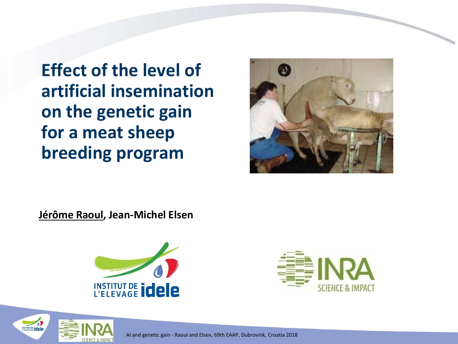**Effect of the level of artificial insemination on the genetic gain for a meat sheep breeding program**



**Jérôme Raoul, Jean-Michel Elsen**





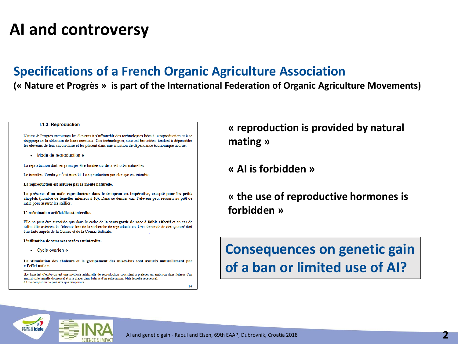# **AI and controversy**

### **Specifications of a French Organic Agriculture Association**

#### **(« Nature et Progrès » is part of the International Federation of Organic Agriculture Movements)**

#### I.1.3-Reproduction

Nature & Progrès encourage les éleveurs à s'affranchir des technologies liées à la reproduction et à se réapproprier la sélection de leurs animaux. Ces technologies, souvent brevetées, tendent à déposséder les éleveurs de leur savoir-faire et les placent dans une situation de dépendance économique accrue.

 $\bullet$  Mode de reproduction  $\bullet$ 

La reproduction doit, en principe, être fondée sur des méthodes naturelles.

Le transfert d'embryon<sup>3</sup> est interdit. La reproduction par clonage est interdite.

La reproduction est assurée par la monte naturelle.

La présence d'un mâle reproducteur dans le troupeau est impérative, excepté pour les petits cheptels (nombre de femelles inférieur à 10). Dans ce dernier cas, l'éleveur peut recourir au prêt de mâle pour assurer les saillies

#### L'insémination artificielle est interdite.

Elle ne peut être autorisée que dans le cadre de la sauvegarde de race à faible effectif et en cas de difficultés avérées de l'éleveur lors de la recherche de reproducteurs. Une demande de dérogation<sup>4</sup> doit être faite auprès de la Comac et de la Comac fédérale.

L'utilisation de semences sexées est interdite.

• Cycle ovarien •

La stimulation des chaleurs et le groupement des mises-bas sont assurés naturellement par « l'effet mâle ».

3Le transfert d'embryon est une méthode artificielle de reproduction consistant à prélever un embryon dans l'utérus d'un animal (dite femelle donneuse) et à le placer dans l'utérus d'un autre animal (dite femelle receveuse). 4 Une dérogation ne peut être que temporaire 14 **« reproduction is provided by natural mating »**

**« AI is forbidden »**

**« the use of reproductive hormones is forbidden »**

**Consequences on genetic gain of a ban or limited use of AI?**

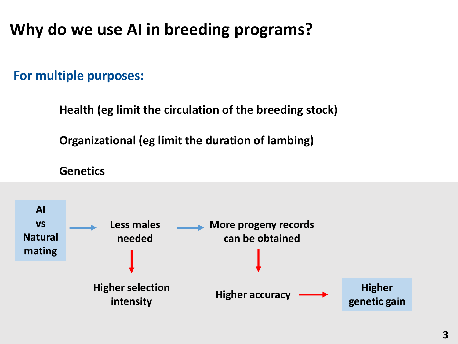# **Why do we use AI in breeding programs?**

**For multiple purposes:**

**Health (eg limit the circulation of the breeding stock)**

**Organizational (eg limit the duration of lambing)**

**Genetics**

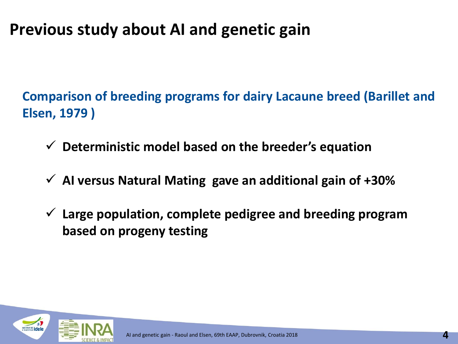# **Previous study about AI and genetic gain**

**Comparison of breeding programs for dairy Lacaune breed (Barillet and Elsen, 1979 )**

- ✓ **Deterministic model based on the breeder's equation**
- ✓ **AI versus Natural Mating gave an additional gain of +30%**
- ✓ **Large population, complete pedigree and breeding program based on progeny testing**

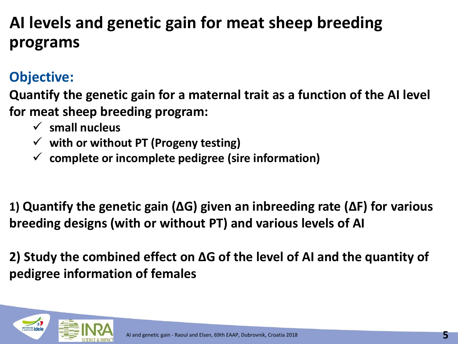# **AI levels and genetic gain for meat sheep breeding programs**

### **Objective:**

**Quantify the genetic gain for a maternal trait as a function of the AI level for meat sheep breeding program:**

- ✓ **small nucleus**
- ✓ **with or without PT (Progeny testing)**
- ✓ **complete or incomplete pedigree (sire information)**

**1) Quantify the genetic gain (∆G) given an inbreeding rate (∆F) for various breeding designs (with or without PT) and various levels of AI**

**2) Study the combined effect on ∆G of the level of AI and the quantity of pedigree information of females**

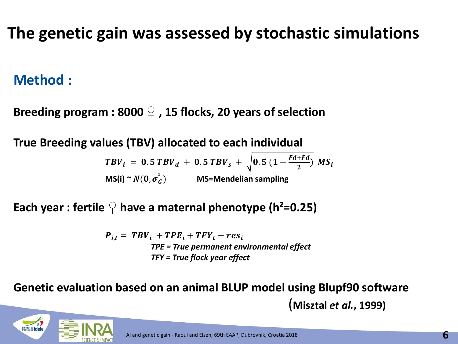# **The genetic gain was assessed by stochastic simulations**

### **Method :**

**Breeding program : 8000 ♀ , 15 flocks, 20 years of selection**

**True Breeding values (TBV) allocated to each individual** 

 $TBV_i = 0.5 TBV_d + 0.5 TBV_s + \sqrt{0.5 (1 - \frac{Fd + Fd}{2})^2}$  $\frac{1}{2}$   $MS_i$  $MS(i) \cong N(0, \sigma_G^2)$  **MS=Mendelian sampling** 

**Each year : fertile**  $\mathcal{Q}$  **have a maternal phenotype (h<sup>2</sup>=0.25)** 

 $P_{i,t} = T B V_i + T P E_i + T F Y_t + r e S_i$ *TPE = True permanent environmental effect TFY = True flock year effect*

**Genetic evaluation based on an animal BLUP model using Blupf90 software** (**Misztal** *et al.***, 1999)**

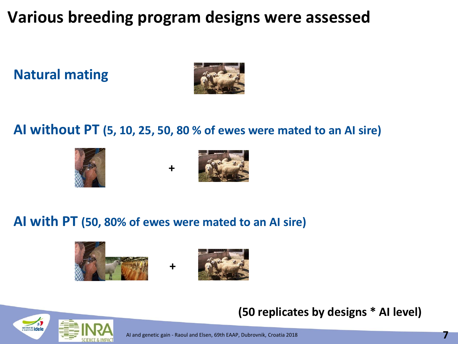# **Various breeding program designs were assessed**

**Natural mating**



### **AI without PT (5, 10, 25, 50, 80 % of ewes were mated to an AI sire)**







### **AI with PT (50, 80% of ewes were mated to an AI sire)**







AI and genetic gain - Raoul and Elsen, 69th EAAP, Dubrovnik, Croatia 2018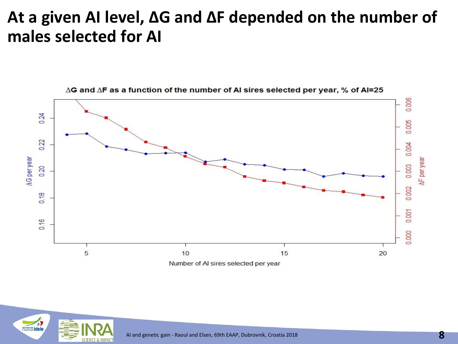## **At a given AI level, ∆G and ∆F depended on the number of males selected for AI**



∆G and ∆F as a function of the number of AI sires selected per year, % of AI=25

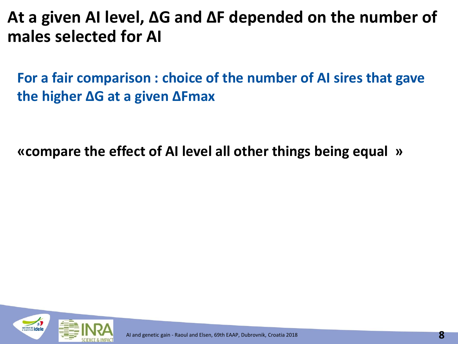**At a given AI level, ∆G and ∆F depended on the number of males selected for AI**

**For a fair comparison : choice of the number of AI sires that gave the higher ∆G at a given ∆Fmax**

**«compare the effect of AI level all other things being equal »** 

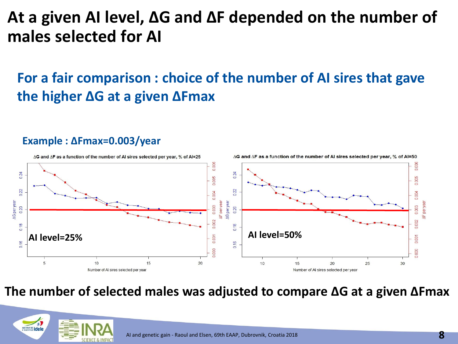# **At a given AI level, ∆G and ∆F depended on the number of males selected for AI**

### **For a fair comparison : choice of the number of AI sires that gave the higher ∆G at a given ∆Fmax**

#### $\Delta$ G and  $\Delta$ F as a function of the number of AI sires selected per year, % of AI=25  $\Delta$ G and  $\Delta$ F as a function of the number of Al sires selected per year, % of  $AI = 50$ 0.006 0.006  $0.24$  $0.24$ 0.005 0.005 0.22 0.22 0.004 0.004 **AG** per year **IF** per year AG per year NF per yea 0.003 0.20 0.003 0.20 0.002 0.18 **AI level=25% AI level=50%**  $0.001$ 0.16 0.000  $20$  $5\overline{5}$ 10 15 10 15 20 25 30 Number of AI sires selected per year Number of AI sires selected per year

### **Example : ∆Fmax=0.003/year**

**The number of selected males was adjusted to compare ∆G at a given ∆Fmax**

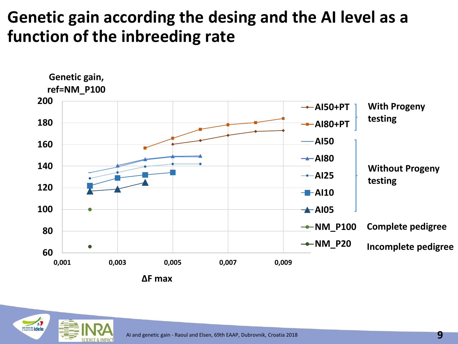# **Genetic gain according the desing and the AI level as a function of the inbreeding rate**



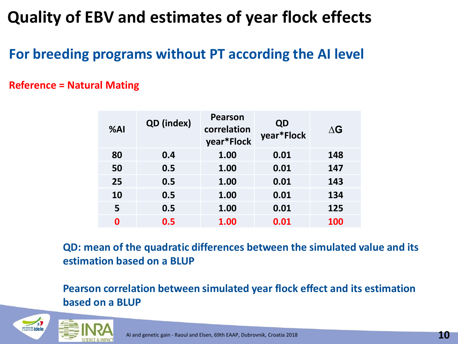# **Quality of EBV and estimates of year flock effects**

### **For breeding programs without PT according the AI level**

### **Reference = Natural Mating**

| %AI       | QD (index) | Pearson<br>correlation<br>year*Flock | QD<br>year*Flock | $\Delta G$ |
|-----------|------------|--------------------------------------|------------------|------------|
| 80        | 0.4        | 1.00                                 | 0.01             | 148        |
| 50        | 0.5        | 1.00                                 | 0.01             | 147        |
| 25        | 0.5        | 1.00                                 | 0.01             | 143        |
| <b>10</b> | 0.5        | 1.00                                 | 0.01             | 134        |
| 5         | 0.5        | 1.00                                 | 0.01             | 125        |
| 0         | 0.5        | 1.00                                 | 0.01             | 100        |

**QD: mean of the quadratic differences between the simulated value and its estimation based on a BLUP**

### **Pearson correlation between simulated year flock effect and its estimation based on a BLUP**

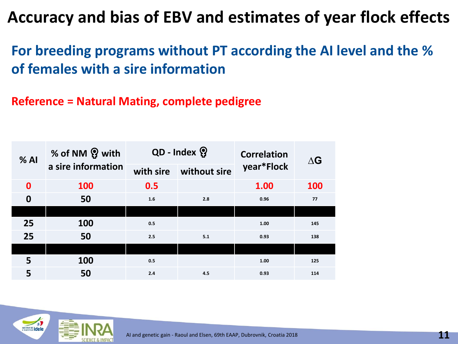**For breeding programs without PT according the AI level and the % of females with a sire information**

**Reference = Natural Mating, complete pedigree**

| % AI             | % of NM ? with<br>a sire information | QD - Index ? |              | <b>Correlation</b> | $\Delta G$ |
|------------------|--------------------------------------|--------------|--------------|--------------------|------------|
|                  |                                      | with sire    | without sire | year*Flock         |            |
| $\mathbf 0$      | <b>100</b>                           | 0.5          |              | 1.00               | <b>100</b> |
| $\boldsymbol{0}$ | 50                                   | 1.6          | 2.8          | 0.96               | 77         |
|                  |                                      |              |              |                    |            |
| 25               | 100                                  | 0.5          |              | 1.00               | 145        |
| 25               | 50                                   | 2.5          | 5.1          | 0.93               | 138        |
|                  |                                      |              |              |                    |            |
| 5                | 100                                  | 0.5          |              | 1.00               | 125        |
| 5                | 50                                   | 2.4          | 4.5          | 0.93               | 114        |

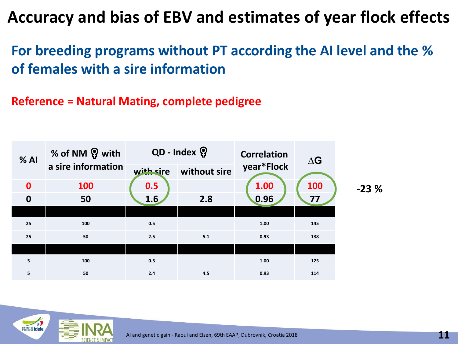**For breeding programs without PT according the AI level and the % of females with a sire information**

**Reference = Natural Mating, complete pedigree**



**-23 %**

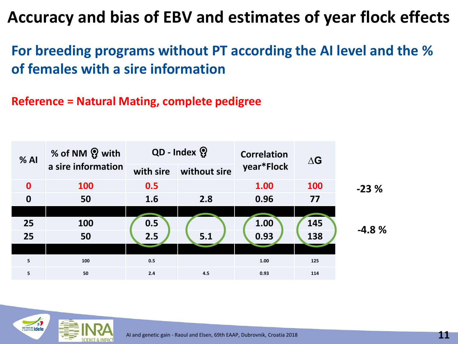**For breeding programs without PT according the AI level and the % of females with a sire information**

**Reference = Natural Mating, complete pedigree**



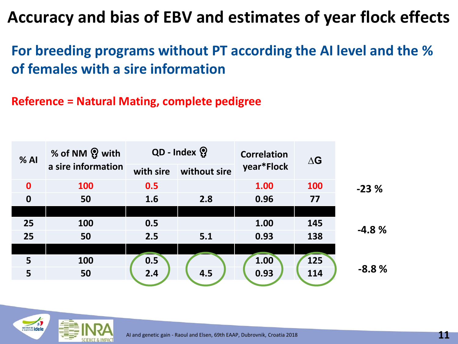**For breeding programs without PT according the AI level and the % of females with a sire information**

**Reference = Natural Mating, complete pedigree**

| $%$ Al           | % of NM ? with<br>a sire information | QD - Index ? |              | <b>Correlation</b> | $\Delta G$ |         |
|------------------|--------------------------------------|--------------|--------------|--------------------|------------|---------|
|                  |                                      | with sire    | without sire | year*Flock         |            |         |
| $\mathbf 0$      | 100                                  | 0.5          |              | 1.00               | <b>100</b> | $-23%$  |
| $\boldsymbol{0}$ | 50                                   | 1.6          | 2.8          | 0.96               | 77         |         |
|                  |                                      |              |              |                    |            |         |
| 25               | 100                                  | 0.5          |              | 1.00               | 145        | $-4.8%$ |
| 25               | 50                                   | 2.5          | 5.1          | 0.93               | 138        |         |
|                  |                                      |              |              |                    |            |         |
| 5                | 100                                  | 0.5          |              | 1.00               | <b>125</b> |         |
| 5                | 50                                   | 2.4          | 4.5          | 0.93               | 114        | $-8.8%$ |
|                  |                                      |              |              |                    |            |         |

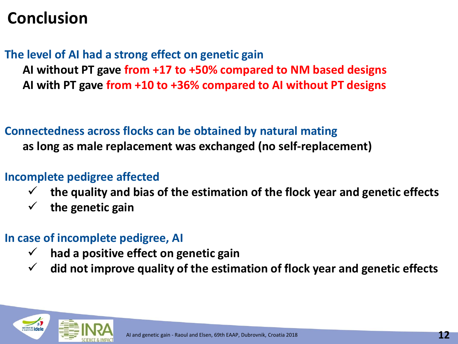# **Conclusion**

**The level of AI had a strong effect on genetic gain** 

**AI without PT gave from +17 to +50% compared to NM based designs AI with PT gave from +10 to +36% compared to AI without PT designs**

### **Connectedness across flocks can be obtained by natural mating**

**as long as male replacement was exchanged (no self-replacement)**

### **Incomplete pedigree affected**

- ✓ **the quality and bias of the estimation of the flock year and genetic effects**
- ✓ **the genetic gain**

### **In case of incomplete pedigree, AI**

- ✓ **had a positive effect on genetic gain**
- ✓ **did not improve quality of the estimation of flock year and genetic effects**